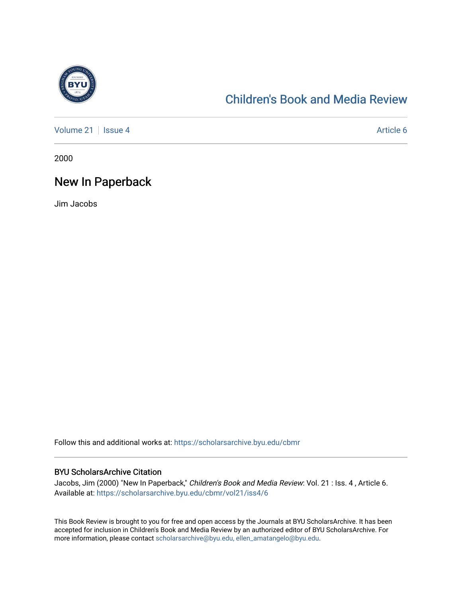

# [Children's Book and Media Review](https://scholarsarchive.byu.edu/cbmr)

[Volume 21](https://scholarsarchive.byu.edu/cbmr/vol21) | [Issue 4](https://scholarsarchive.byu.edu/cbmr/vol21/iss4) Article 6

2000

## New In Paperback

Jim Jacobs

Follow this and additional works at: [https://scholarsarchive.byu.edu/cbmr](https://scholarsarchive.byu.edu/cbmr?utm_source=scholarsarchive.byu.edu%2Fcbmr%2Fvol21%2Fiss4%2F6&utm_medium=PDF&utm_campaign=PDFCoverPages) 

#### BYU ScholarsArchive Citation

Jacobs, Jim (2000) "New In Paperback," Children's Book and Media Review: Vol. 21 : Iss. 4 , Article 6. Available at: [https://scholarsarchive.byu.edu/cbmr/vol21/iss4/6](https://scholarsarchive.byu.edu/cbmr/vol21/iss4/6?utm_source=scholarsarchive.byu.edu%2Fcbmr%2Fvol21%2Fiss4%2F6&utm_medium=PDF&utm_campaign=PDFCoverPages) 

This Book Review is brought to you for free and open access by the Journals at BYU ScholarsArchive. It has been accepted for inclusion in Children's Book and Media Review by an authorized editor of BYU ScholarsArchive. For more information, please contact [scholarsarchive@byu.edu, ellen\\_amatangelo@byu.edu.](mailto:scholarsarchive@byu.edu,%20ellen_amatangelo@byu.edu)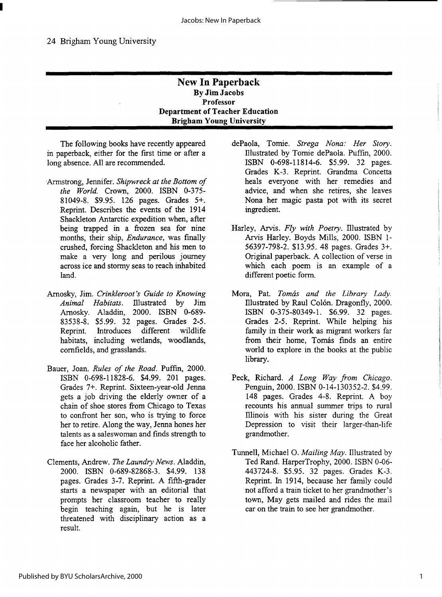### **New In Paperback By Jim Jacobs Professor Department of Teacher Education Brigham Young University**

The following books have recently appeared in paperback, either for the first time or after a long absence. All are recommended.

- Armstrong, Jennifer. *Shipwreck at the Bottom of the World.* Crown, 2000. ISBN 0-375- 81049-8. \$9.95. 126 pages. Grades 5+. Reprint. Describes the events of the 1914 Shackleton Antarctic expedition when, after being trapped in a frozen sea for nine months, their ship, *Endurance,* was finally crushed, forcing Shackleton and his men to make a very long and perilous journey across ice and stormy seas to reach inhabited land.
- Arnosky, Jim. *Crinkleroot's Guide to Knowing Animal Habitats.* lllustrated by Jim Arnosky. Aladdin, 2000. ISBN 0-689- 83538-8. \$5.99. 32 pages. Grades 2-5. Reprint. Introduces different wildlife habitats, including wetlands, woodlands, cornfields, and grasslands.
- Bauer, Joan. *Rules of the Road.* Puffin, 2000. ISBN 0-698-11828-6. \$4.99. 201 pages. Grades 7+. Reprint. Sixteen-year-old Jenna gets a job driving the elderly owner of a chain of shoe stores from Chicago to Texas to confront her son, who is trying to force her to retire. Along the way, Jenna hones her talents as a saleswoman and finds strength to face her alcoholic father.
- Clements, Andrew. *The Laundry News.* Aladdin, 2000. ISBN 0-689-82868-3. \$4.99. 138 pages. Grades 3-7. Reprint. A fifth-grader starts a newspaper with an editorial that prompts her classroom teacher to really begin teaching again, but he is later threatened with disciplinary action as a result.
- dePaola, Tomie. *Strega Nona: Her Story.*  lllustrated by Tomie dePaola. Puffin, 2000. ISBN 0-698-11814-6. \$5.99. 32 pages. Grades K-3. Reprint. Grandma Concetta heals everyone with her remedies and advice, and when she retires, she leaves Nona her magic pasta pot with its secret ingredient.
- Harley, Arvis. *Fly with Poetry.* lllustrated by Arvis Harley. Boyds Mills, 2000. ISBN 1- 56397-798-2. \$13.95. 48 pages. Grades 3+. Original paperback. A collection of verse in which each poem is an example of a different poetic form.
- Mora, Pat. Tomás and the Library Lady. lllustrated by Raul Colon. Dragonfly, 2000. ISBN 0-375-80349-1. \$6.99. 32 pages. Grades 2-5. Reprint. While helping his family in their work as migrant workers far from their home, Tomás finds an entire world to explore in the books at the public library.
- Peck, Richard. *A Long Way from Chicago.*  Penguin, 2000. ISBN 0-14-130352-2. \$4.99. 148 pages. Grades 4-8. Reprint. A boy recounts his annual summer trips to rural lllinois with his sister during the Great Depression to visit their larger-than-life grandmother.
- Tunnell, Michael O. *Mailing May.* Illustrated by Ted Rand. HarperTrophy, 2000. ISBN 0-06- 443724-8. \$5.95. 32 pages. Grades K-3. Reprint. In 1914, because her family could not afford a train ticket to her grandmother's town, May gets mailed and rides the mail car on the train to see her grandmother.